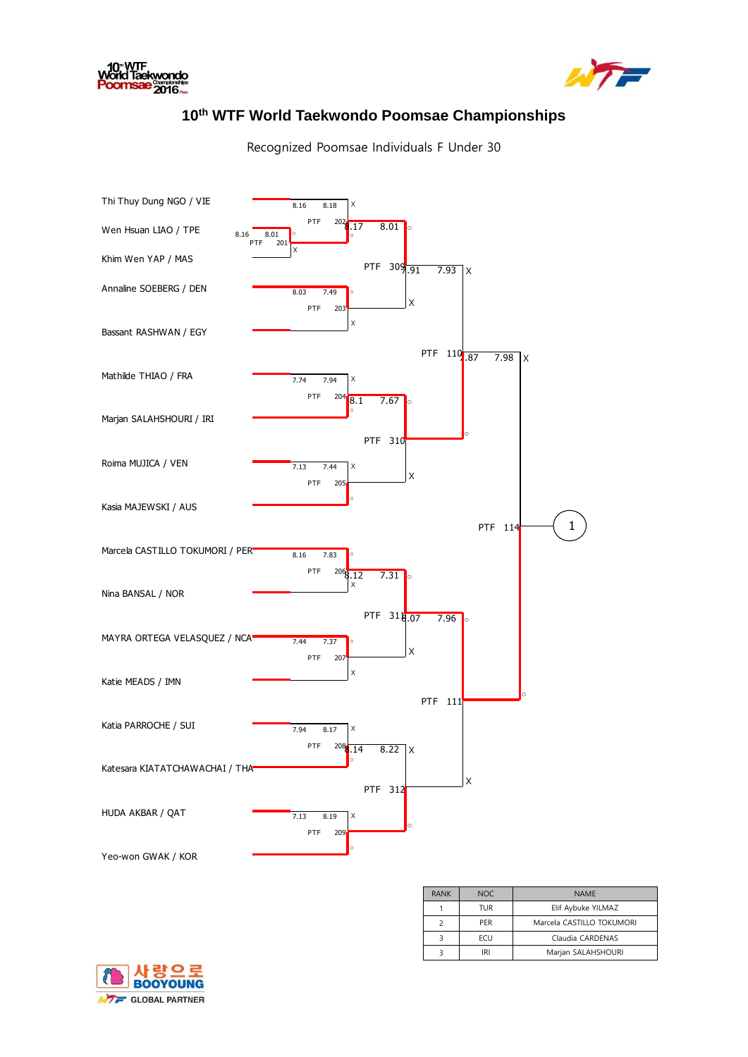



## **10th WTF World Taekwondo Poomsae Championships**

Recognized Poomsae Individuals F Under 30



| <b>RANK</b> | <b>NOC</b> | <b>NAMF</b>               |
|-------------|------------|---------------------------|
|             | TUR        | Elif Aybuke YILMAZ        |
|             | <b>PFR</b> | Marcela CASTILLO TOKUMORI |
|             | <b>FCU</b> | Claudia CARDENAS          |
|             | IRI        | Marjan SALAHSHOURI        |

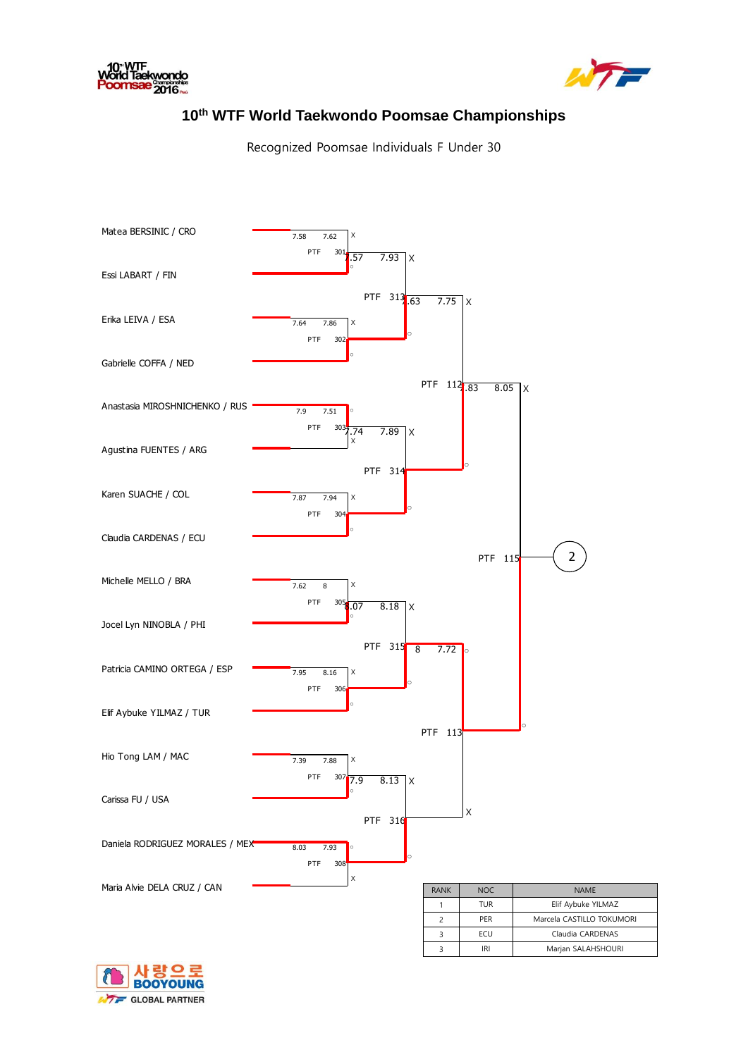



## **10th WTF World Taekwondo Poomsae Championships**

Recognized Poomsae Individuals F Under 30